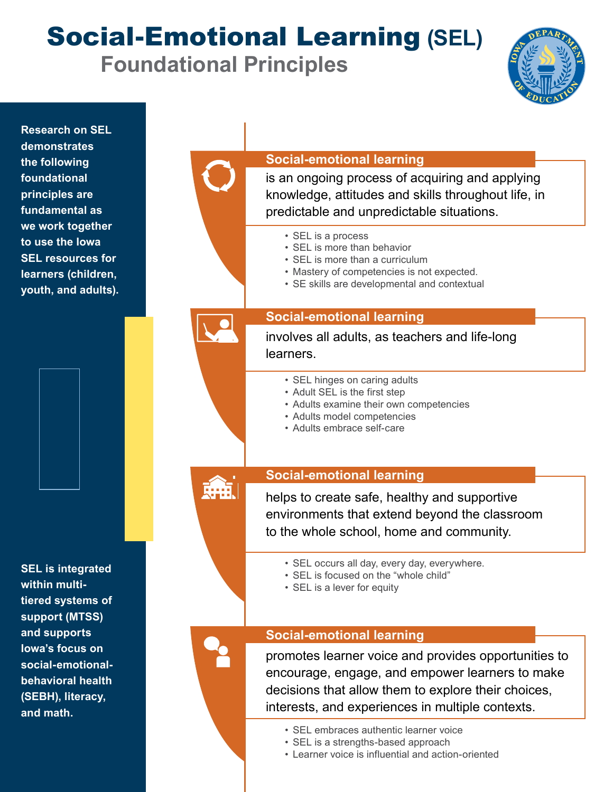Social-Emotional Learning **(SEL) Foundational Principles**



| <b>Research on SEL</b><br>demonstrates<br>the following<br>foundational<br>principles are<br>fundamental as<br>we work together<br>to use the lowa<br><b>SEL resources for</b><br>learners (children,<br>youth, and adults). | <b>Social-emotional learning</b><br>is an ongoing process of acquiring and applying<br>knowledge, attitudes and skills throughout life, in<br>predictable and unpredictable situations.<br>• SEL is a process<br>• SEL is more than behavior<br>• SEL is more than a curriculum<br>• Mastery of competencies is not expected.<br>• SE skills are developmental and contextual |
|------------------------------------------------------------------------------------------------------------------------------------------------------------------------------------------------------------------------------|-------------------------------------------------------------------------------------------------------------------------------------------------------------------------------------------------------------------------------------------------------------------------------------------------------------------------------------------------------------------------------|
|                                                                                                                                                                                                                              | <b>Social-emotional learning</b><br>involves all adults, as teachers and life-long<br>learners.<br>• SEL hinges on caring adults<br>• Adult SEL is the first step<br>• Adults examine their own competencies<br>• Adults model competencies<br>• Adults embrace self-care                                                                                                     |
|                                                                                                                                                                                                                              | <b>Social-emotional learning</b><br>helps to create safe, healthy and supportive<br>environments that extend beyond the classroom<br>to the whole school, home and community.                                                                                                                                                                                                 |
| <b>SEL is integrated</b><br>within multi-<br>tiered systems of<br>support (MTSS)<br>and supports<br>lowa's focus on<br>social-emotional-<br>behavioral health<br>(SEBH), literacy,<br>and math.                              | • SEL occurs all day, every day, everywhere.<br>• SEL is focused on the "whole child"<br>• SEL is a lever for equity                                                                                                                                                                                                                                                          |
|                                                                                                                                                                                                                              | <b>Social-emotional learning</b><br>promotes learner voice and provides opportunities to<br>encourage, engage, and empower learners to make<br>decisions that allow them to explore their choices,<br>interests, and experiences in multiple contexts.<br>• SEL embraces authentic learner voice<br>• SEL is a strengths-based approach                                       |

• Learner voice is influential and action-oriented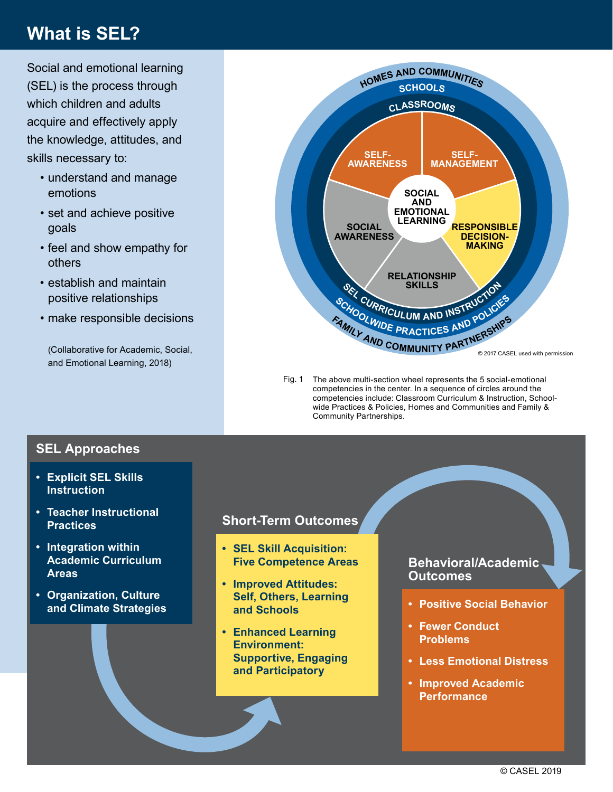# **What is SEL?**

Social and emotional learning (SEL) is the process through which children and adults acquire and effectively apply the knowledge, attitudes, and skills necessary to:

- understand and manage emotions
- set and achieve positive goals
- feel and show empathy for others
- establish and maintain positive relationships
- make responsible decisions

(Collaborative for Academic, Social, and Emotional Learning, 2018)



Fig. 1 The above multi-section wheel represents the 5 social-emotional competencies in the center. In a sequence of circles around the competencies include: Classroom Curriculum & Instruction, Schoolwide Practices & Policies, Homes and Communities and Family & Community Partnerships.

## **SEL Approaches**

- **Explicit SEL Skills Instruction**
- **Teacher Instructional Practices**
- **Integration within Academic Curriculum Areas**
- **Organization, Culture**

## **Short-Term Outcomes**

- **SEL Skill Acquisition: Five Competence Areas**
- **and Climate Strategies** *and Schools*  **Positive Social Behavior • Improved Attitudes: Self, Others, Learning and Schools**
	- **Enhanced Learning Environment: Supportive, Engaging and Participatory**

### **Behavioral/Academic Outcomes**

- 
- **Fewer Conduct Problems**
- **Less Emotional Distress**
- **• Improved Academic Performance**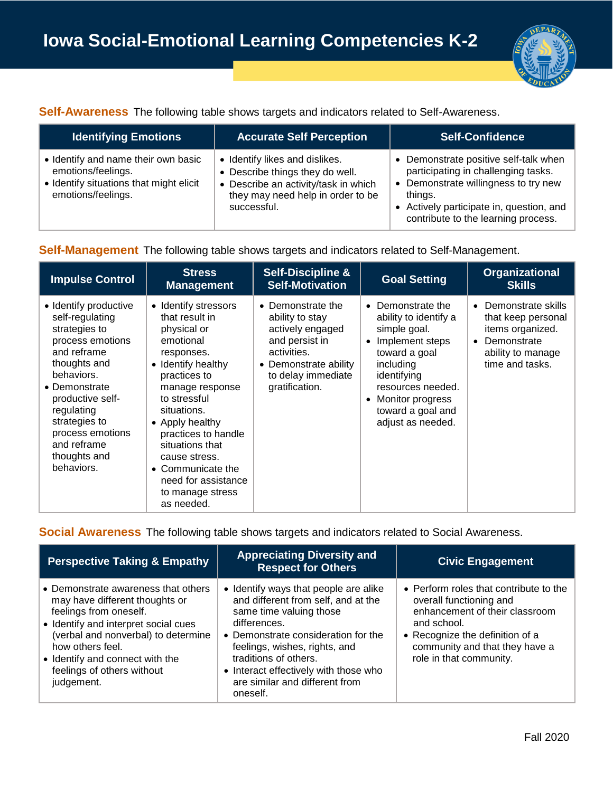

**Self-Awareness** The following table shows targets and indicators related to Self-Awareness.

| <b>Identifying Emotions</b>                                                                                                | <b>Accurate Self Perception</b>                                                                                                                               | <b>Self-Confidence</b>                                                                                                                                                                                             |
|----------------------------------------------------------------------------------------------------------------------------|---------------------------------------------------------------------------------------------------------------------------------------------------------------|--------------------------------------------------------------------------------------------------------------------------------------------------------------------------------------------------------------------|
| • Identify and name their own basic<br>emotions/feelings.<br>• Identify situations that might elicit<br>emotions/feelings. | • Identify likes and dislikes.<br>• Describe things they do well.<br>• Describe an activity/task in which<br>they may need help in order to be<br>successful. | • Demonstrate positive self-talk when<br>participating in challenging tasks.<br>• Demonstrate willingness to try new<br>things.<br>• Actively participate in, question, and<br>contribute to the learning process. |

### **Self-Management** The following table shows targets and indicators related to Self-Management.

| <b>Impulse Control</b>                                                                                                                                                                                                                                          | <b>Stress</b><br><b>Management</b>                                                                                                                                                                                                                                                                                                   | <b>Self-Discipline &amp;</b><br><b>Self-Motivation</b>                                                                                                     | <b>Goal Setting</b>                                                                                                                                                                                                      | <b>Organizational</b><br><b>Skills</b>                                                                                                        |
|-----------------------------------------------------------------------------------------------------------------------------------------------------------------------------------------------------------------------------------------------------------------|--------------------------------------------------------------------------------------------------------------------------------------------------------------------------------------------------------------------------------------------------------------------------------------------------------------------------------------|------------------------------------------------------------------------------------------------------------------------------------------------------------|--------------------------------------------------------------------------------------------------------------------------------------------------------------------------------------------------------------------------|-----------------------------------------------------------------------------------------------------------------------------------------------|
| • Identify productive<br>self-regulating<br>strategies to<br>process emotions<br>and reframe<br>thoughts and<br>behaviors.<br>• Demonstrate<br>productive self-<br>regulating<br>strategies to<br>process emotions<br>and reframe<br>thoughts and<br>behaviors. | • Identify stressors<br>that result in<br>physical or<br>emotional<br>responses.<br>• Identify healthy<br>practices to<br>manage response<br>to stressful<br>situations.<br>• Apply healthy<br>practices to handle<br>situations that<br>cause stress.<br>• Communicate the<br>need for assistance<br>to manage stress<br>as needed. | • Demonstrate the<br>ability to stay<br>actively engaged<br>and persist in<br>activities.<br>• Demonstrate ability<br>to delay immediate<br>gratification. | Demonstrate the<br>ability to identify a<br>simple goal.<br>Implement steps<br>toward a goal<br>including<br>identifying<br>resources needed.<br>Monitor progress<br>$\bullet$<br>toward a goal and<br>adjust as needed. | Demonstrate skills<br>$\bullet$<br>that keep personal<br>items organized.<br>Demonstrate<br>$\bullet$<br>ability to manage<br>time and tasks. |

**Social Awareness** The following table shows targets and indicators related to Social Awareness.

| <b>Perspective Taking &amp; Empathy</b>                                                                                                                                                                                                                                           | <b>Appreciating Diversity and</b><br><b>Respect for Others</b>                                                                                                                                                                                                                                                  | <b>Civic Engagement</b>                                                                                                                                                                                            |
|-----------------------------------------------------------------------------------------------------------------------------------------------------------------------------------------------------------------------------------------------------------------------------------|-----------------------------------------------------------------------------------------------------------------------------------------------------------------------------------------------------------------------------------------------------------------------------------------------------------------|--------------------------------------------------------------------------------------------------------------------------------------------------------------------------------------------------------------------|
| • Demonstrate awareness that others<br>may have different thoughts or<br>feelings from oneself.<br>• Identify and interpret social cues<br>(verbal and nonverbal) to determine<br>how others feel.<br>• Identify and connect with the<br>feelings of others without<br>judgement. | • Identify ways that people are alike<br>and different from self, and at the<br>same time valuing those<br>differences.<br>• Demonstrate consideration for the<br>feelings, wishes, rights, and<br>traditions of others.<br>• Interact effectively with those who<br>are similar and different from<br>oneself. | • Perform roles that contribute to the<br>overall functioning and<br>enhancement of their classroom<br>and school.<br>• Recognize the definition of a<br>community and that they have a<br>role in that community. |